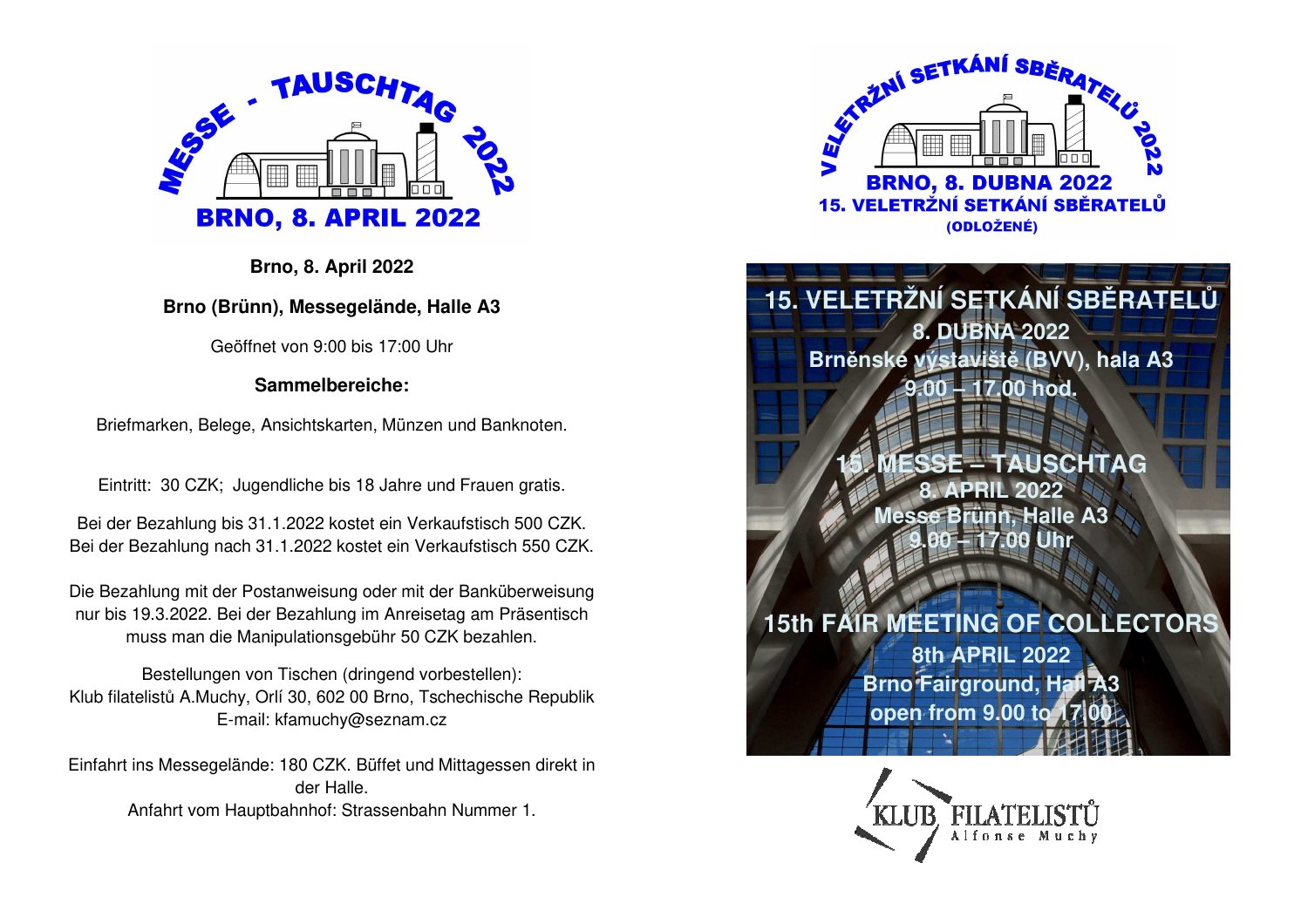

**Brno, 8. April 2022** 

**Brno (Brünn), Messegelände, Halle A3** 

Geöffnet von 9:00 bis 17:00 Uhr

**Sammelbereiche:** 

Briefmarken, Belege, Ansichtskarten, Münzen und Banknoten.

Eintritt: 30 CZK; Jugendliche bis 18 Jahre und Frauen gratis.

Bei der Bezahlung bis 31.1.2022 kostet ein Verkaufstisch 500 CZK. Bei der Bezahlung nach 31.1.2022 kostet ein Verkaufstisch 550 CZK.

Die Bezahlung mit der Postanweisung oder mit der Banküberweisung nur bis 19.3.2022. Bei der Bezahlung im Anreisetag am Präsentisch muss man die Manipulationsgebühr 50 CZK bezahlen.

Bestellungen von Tischen (dringend vorbestellen): Klub filatelistů A.Muchy, Orlí 30, 602 00 Brno, Tschechische Republik E-mail: kfamuchy@seznam.cz

Einfahrt ins Messegelände: 180 CZK. Büffet und Mittagessen direkt in der Halle. Anfahrt vom Hauptbahnhof: Strassenbahn Nummer 1.



**15. VELETRŽNÍ SETKÁNÍ SBĚRATELŮ8. DUBNA 2022 Brněnské výstaviště (BVV), hala A3 9.00 – 17.00 hod.** 

> **ISCHTAG 8. APRIL 2022 nn. Halle A3** *<u>Uhr</u>*

**15th FAIR MEETING OF COLLECTORS**

**8th APRIL 2022 Brno Fairground, Hall A3 open from 9.00 to 17.00**